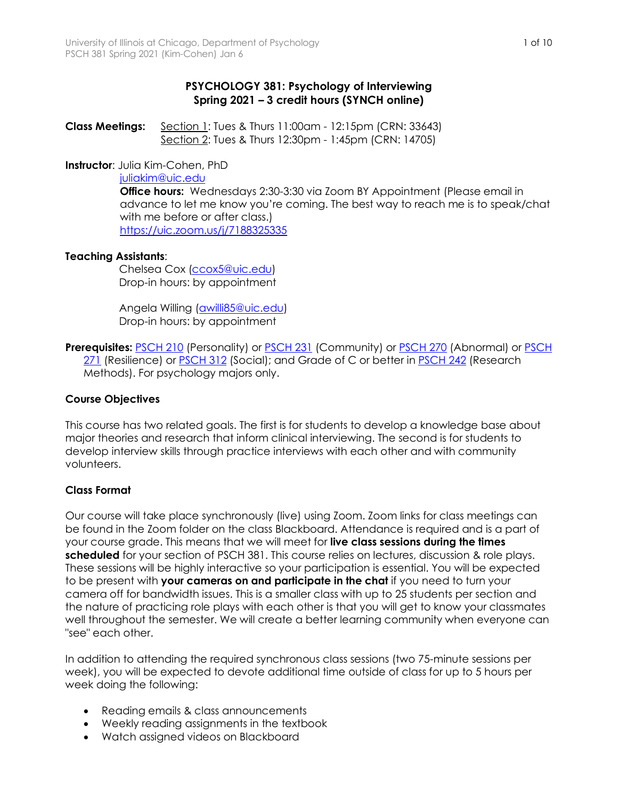## **PSYCHOLOGY 381: Psychology of Interviewing Spring 2021 – 3 credit hours (SYNCH online)**

**Class Meetings:** Section 1: Tues & Thurs 11:00am - 12:15pm (CRN: 33643) Section 2: Tues & Thurs 12:30pm - 1:45pm (CRN: 14705)

**Instructor**: Julia Kim-Cohen, PhD

#### juliakim@uic.edu

**Office hours:** Wednesdays 2:30-3:30 via Zoom BY Appointment (Please email in advance to let me know you're coming. The best way to reach me is to speak/chat with me before or after class.) https://uic.zoom.us/j/7188325335

### **Teaching Assistants**:

 Chelsea Cox (ccox5@uic.edu) Drop-in hours: by appointment

 Angela Willing (awilli85@uic.edu) Drop-in hours: by appointment

**Prerequisites:** PSCH 210 (Personality) or PSCH 231 (Community) or PSCH 270 (Abnormal) or PSCH 271 (Resilience) or PSCH 312 (Social); and Grade of C or better in PSCH 242 (Research Methods). For psychology majors only.

## **Course Objectives**

This course has two related goals. The first is for students to develop a knowledge base about major theories and research that inform clinical interviewing. The second is for students to develop interview skills through practice interviews with each other and with community volunteers.

### **Class Format**

Our course will take place synchronously (live) using Zoom. Zoom links for class meetings can be found in the Zoom folder on the class Blackboard. Attendance is required and is a part of your course grade. This means that we will meet for **live class sessions during the times scheduled** for your section of PSCH 381. This course relies on lectures, discussion & role plays. These sessions will be highly interactive so your participation is essential. You will be expected to be present with **your cameras on and participate in the chat** if you need to turn your camera off for bandwidth issues. This is a smaller class with up to 25 students per section and the nature of practicing role plays with each other is that you will get to know your classmates well throughout the semester. We will create a better learning community when everyone can "see" each other.

In addition to attending the required synchronous class sessions (two 75-minute sessions per week), you will be expected to devote additional time outside of class for up to 5 hours per week doing the following:

- Reading emails & class announcements
- Weekly reading assignments in the textbook
- Watch assigned videos on Blackboard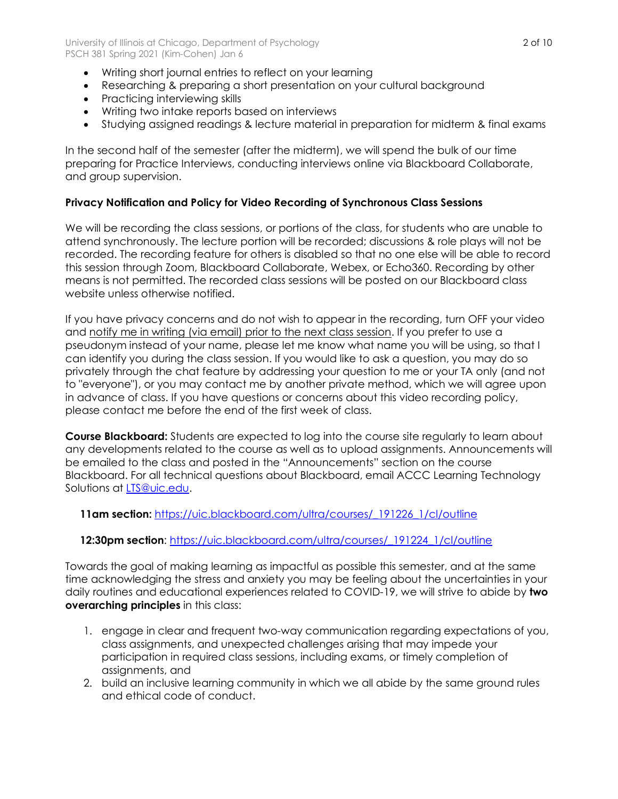- Writing short journal entries to reflect on your learning
- Researching & preparing a short presentation on your cultural background
- Practicing interviewing skills
- Writing two intake reports based on interviews
- Studying assigned readings & lecture material in preparation for midterm & final exams

In the second half of the semester (after the midterm), we will spend the bulk of our time preparing for Practice Interviews, conducting interviews online via Blackboard Collaborate, and group supervision.

# **Privacy Notification and Policy for Video Recording of Synchronous Class Sessions**

We will be recording the class sessions, or portions of the class, for students who are unable to attend synchronously. The lecture portion will be recorded; discussions & role plays will not be recorded. The recording feature for others is disabled so that no one else will be able to record this session through Zoom, Blackboard Collaborate, Webex, or Echo360. Recording by other means is not permitted. The recorded class sessions will be posted on our Blackboard class website unless otherwise notified.

If you have privacy concerns and do not wish to appear in the recording, turn OFF your video and notify me in writing (via email) prior to the next class session. If you prefer to use a pseudonym instead of your name, please let me know what name you will be using, so that I can identify you during the class session. If you would like to ask a question, you may do so privately through the chat feature by addressing your question to me or your TA only (and not to "everyone"), or you may contact me by another private method, which we will agree upon in advance of class. If you have questions or concerns about this video recording policy, please contact me before the end of the first week of class.

**Course Blackboard:** Students are expected to log into the course site regularly to learn about any developments related to the course as well as to upload assignments. Announcements will be emailed to the class and posted in the "Announcements" section on the course Blackboard. For all technical questions about Blackboard, email ACCC Learning Technology Solutions at **LTS@uic.edu**.

 **11am section:** https://uic.blackboard.com/ultra/courses/\_191226\_1/cl/outline

# **12:30pm section**: https://uic.blackboard.com/ultra/courses/\_191224\_1/cl/outline

Towards the goal of making learning as impactful as possible this semester, and at the same time acknowledging the stress and anxiety you may be feeling about the uncertainties in your daily routines and educational experiences related to COVID-19, we will strive to abide by **two overarching principles** in this class:

- 1. engage in clear and frequent two-way communication regarding expectations of you, class assignments, and unexpected challenges arising that may impede your participation in required class sessions, including exams, or timely completion of assignments, and
- 2. build an inclusive learning community in which we all abide by the same ground rules and ethical code of conduct.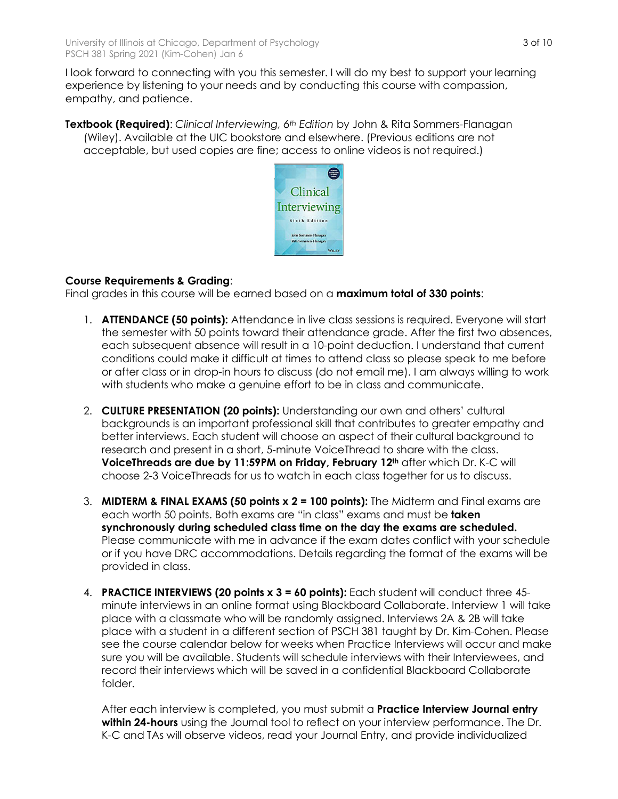I look forward to connecting with you this semester. I will do my best to support your learning experience by listening to your needs and by conducting this course with compassion, empathy, and patience.

**Textbook (Required)**: *Clinical Interviewing, 6th Edition* by John & Rita Sommers-Flanagan (Wiley). Available at the UIC bookstore and elsewhere. (Previous editions are not acceptable, but used copies are fine; access to online videos is not required.)



# **Course Requirements & Grading**:

Final grades in this course will be earned based on a **maximum total of 330 points**:

- 1. **ATTENDANCE (50 points):** Attendance in live class sessions is required. Everyone will start the semester with 50 points toward their attendance grade. After the first two absences, each subsequent absence will result in a 10-point deduction. I understand that current conditions could make it difficult at times to attend class so please speak to me before or after class or in drop-in hours to discuss (do not email me). I am always willing to work with students who make a genuine effort to be in class and communicate.
- 2. **CULTURE PRESENTATION (20 points):** Understanding our own and others' cultural backgrounds is an important professional skill that contributes to greater empathy and better interviews. Each student will choose an aspect of their cultural background to research and present in a short, 5-minute VoiceThread to share with the class. **VoiceThreads are due by 11:59PM on Friday, February 12th** after which Dr. K-C will choose 2-3 VoiceThreads for us to watch in each class together for us to discuss.
- 3. **MIDTERM & FINAL EXAMS (50 points x 2 = 100 points):** The Midterm and Final exams are each worth 50 points. Both exams are "in class" exams and must be **taken synchronously during scheduled class time on the day the exams are scheduled.** Please communicate with me in advance if the exam dates conflict with your schedule or if you have DRC accommodations. Details regarding the format of the exams will be provided in class.
- 4. **PRACTICE INTERVIEWS (20 points x 3 = 60 points):** Each student will conduct three 45 minute interviews in an online format using Blackboard Collaborate. Interview 1 will take place with a classmate who will be randomly assigned. Interviews 2A & 2B will take place with a student in a different section of PSCH 381 taught by Dr. Kim-Cohen. Please see the course calendar below for weeks when Practice Interviews will occur and make sure you will be available. Students will schedule interviews with their Interviewees, and record their interviews which will be saved in a confidential Blackboard Collaborate folder.

After each interview is completed, you must submit a **Practice Interview Journal entry within 24-hours** using the Journal tool to reflect on your interview performance. The Dr. K-C and TAs will observe videos, read your Journal Entry, and provide individualized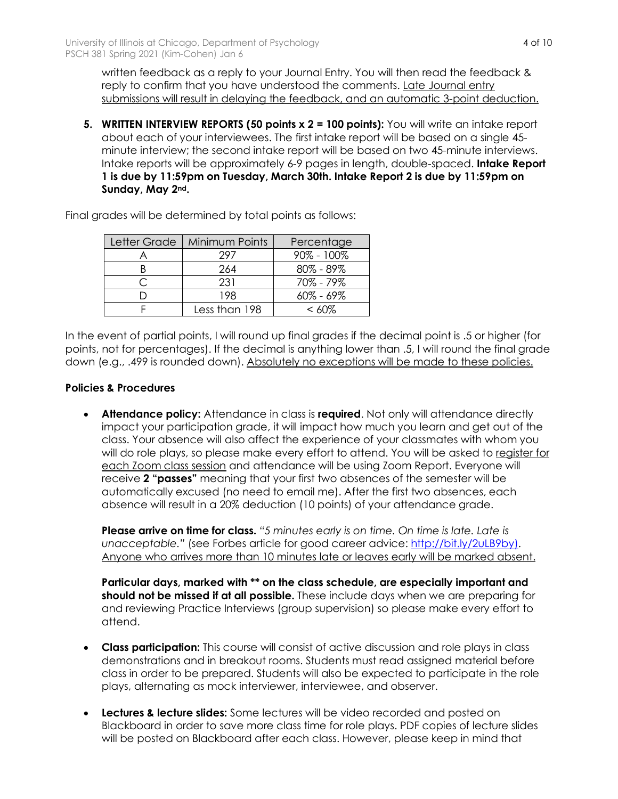written feedback as a reply to your Journal Entry. You will then read the feedback & reply to confirm that you have understood the comments. Late Journal entry submissions will result in delaying the feedback, and an automatic 3-point deduction.

**5. WRITTEN INTERVIEW REPORTS (50 points x 2 = 100 points):** You will write an intake report about each of your interviewees. The first intake report will be based on a single 45 minute interview; the second intake report will be based on two 45-minute interviews. Intake reports will be approximately 6-9 pages in length, double-spaced. **Intake Report 1 is due by 11:59pm on Tuesday, March 30th. Intake Report 2 is due by 11:59pm on Sunday, May 2nd.** 

| Letter Grade | <b>Minimum Points</b> | Percentage     |
|--------------|-----------------------|----------------|
|              | 297                   | $90\% - 100\%$ |
|              | 264                   | $80\% - 89\%$  |
|              | 231                   | 70% - 79%      |
|              | 198                   | $60\% - 69\%$  |
|              | Less than 198         | $< 60\%$       |

Final grades will be determined by total points as follows:

In the event of partial points, I will round up final grades if the decimal point is .5 or higher (for points, not for percentages). If the decimal is anything lower than .5, I will round the final grade down (e.g., .499 is rounded down). Absolutely no exceptions will be made to these policies.

### **Policies & Procedures**

• **Attendance policy:** Attendance in class is **required**. Not only will attendance directly impact your participation grade, it will impact how much you learn and get out of the class. Your absence will also affect the experience of your classmates with whom you will do role plays, so please make every effort to attend. You will be asked to register for each Zoom class session and attendance will be using Zoom Report. Everyone will receive **2 "passes"** meaning that your first two absences of the semester will be automatically excused (no need to email me). After the first two absences, each absence will result in a 20% deduction (10 points) of your attendance grade.

**Please arrive on time for class.** *"5 minutes early is on time. On time is late. Late is*  unacceptable." (see Forbes article for good career advice: http://bit.ly/2uLB9by). Anyone who arrives more than 10 minutes late or leaves early will be marked absent.

**Particular days, marked with \*\* on the class schedule, are especially important and should not be missed if at all possible.** These include days when we are preparing for and reviewing Practice Interviews (group supervision) so please make every effort to attend.

- **Class participation:** This course will consist of active discussion and role plays in class demonstrations and in breakout rooms. Students must read assigned material before class in order to be prepared. Students will also be expected to participate in the role plays, alternating as mock interviewer, interviewee, and observer.
- **Lectures & lecture slides:** Some lectures will be video recorded and posted on Blackboard in order to save more class time for role plays. PDF copies of lecture slides will be posted on Blackboard after each class. However, please keep in mind that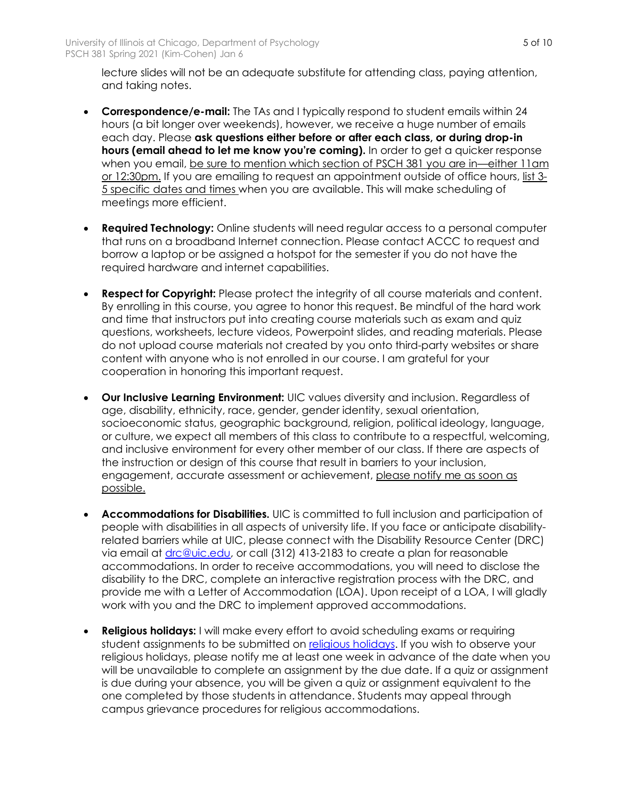lecture slides will not be an adequate substitute for attending class, paying attention, and taking notes.

- **Correspondence/e-mail:** The TAs and I typically respond to student emails within 24 hours (a bit longer over weekends), however, we receive a huge number of emails each day. Please **ask questions either before or after each class, or during drop-in hours (email ahead to let me know you're coming).** In order to get a quicker response when you email, be sure to mention which section of PSCH 381 you are in—either 11am or 12:30pm. If you are emailing to request an appointment outside of office hours, list 3-5 specific dates and times when you are available. This will make scheduling of meetings more efficient.
- **Required Technology:** Online students will need regular access to a personal computer that runs on a broadband Internet connection. Please contact ACCC to request and borrow a laptop or be assigned a hotspot for the semester if you do not have the required hardware and internet capabilities.
- **Respect for Copyright:** Please protect the integrity of all course materials and content. By enrolling in this course, you agree to honor this request. Be mindful of the hard work and time that instructors put into creating course materials such as exam and quiz questions, worksheets, lecture videos, Powerpoint slides, and reading materials. Please do not upload course materials not created by you onto third-party websites or share content with anyone who is not enrolled in our course. I am grateful for your cooperation in honoring this important request.
- **Our Inclusive Learning Environment:** UIC values diversity and inclusion. Regardless of age, disability, ethnicity, race, gender, gender identity, sexual orientation, socioeconomic status, geographic background, religion, political ideology, language, or culture, we expect all members of this class to contribute to a respectful, welcoming, and inclusive environment for every other member of our class. If there are aspects of the instruction or design of this course that result in barriers to your inclusion, engagement, accurate assessment or achievement, please notify me as soon as possible.
- **Accommodations for Disabilities.** UIC is committed to full inclusion and participation of people with disabilities in all aspects of university life. If you face or anticipate disabilityrelated barriers while at UIC, please connect with the Disability Resource Center (DRC) via email at drc@uic.edu, or call (312) 413-2183 to create a plan for reasonable accommodations. In order to receive accommodations, you will need to disclose the disability to the DRC, complete an interactive registration process with the DRC, and provide me with a Letter of Accommodation (LOA). Upon receipt of a LOA, I will gladly work with you and the DRC to implement approved accommodations.
- **Religious holidays:** I will make every effort to avoid scheduling exams or requiring student assignments to be submitted on religious holidays. If you wish to observe your religious holidays, please notify me at least one week in advance of the date when you will be unavailable to complete an assignment by the due date. If a quiz or assignment is due during your absence, you will be given a quiz or assignment equivalent to the one completed by those students in attendance. Students may appeal through campus grievance procedures for religious accommodations.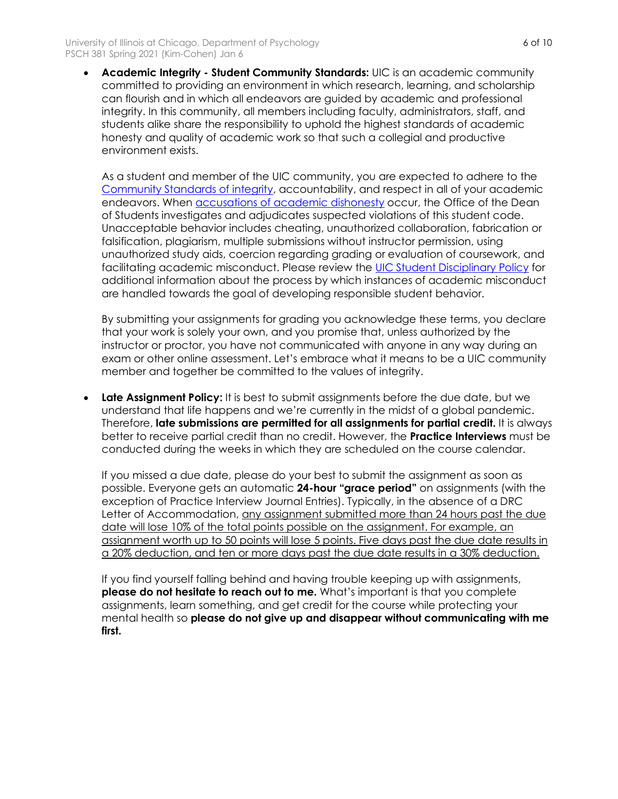• **Academic Integrity - Student Community Standards:** UIC is an academic community committed to providing an environment in which research, learning, and scholarship can flourish and in which all endeavors are guided by academic and professional integrity. In this community, all members including faculty, administrators, staff, and students alike share the responsibility to uphold the highest standards of academic honesty and quality of academic work so that such a collegial and productive environment exists.

As a student and member of the UIC community, you are expected to adhere to the Community Standards of integrity, accountability, and respect in all of your academic endeavors. When accusations of academic dishonesty occur, the Office of the Dean of Students investigates and adjudicates suspected violations of this student code. Unacceptable behavior includes cheating, unauthorized collaboration, fabrication or falsification, plagiarism, multiple submissions without instructor permission, using unauthorized study aids, coercion regarding grading or evaluation of coursework, and facilitating academic misconduct. Please review the UIC Student Disciplinary Policy for additional information about the process by which instances of academic misconduct are handled towards the goal of developing responsible student behavior.

By submitting your assignments for grading you acknowledge these terms, you declare that your work is solely your own, and you promise that, unless authorized by the instructor or proctor, you have not communicated with anyone in any way during an exam or other online assessment. Let's embrace what it means to be a UIC community member and together be committed to the values of integrity.

**Late Assignment Policy:** It is best to submit assignments before the due date, but we understand that life happens and we're currently in the midst of a global pandemic. Therefore, **late submissions are permitted for all assignments for partial credit.** It is always better to receive partial credit than no credit. However, the **Practice Interviews** must be conducted during the weeks in which they are scheduled on the course calendar.

If you missed a due date, please do your best to submit the assignment as soon as possible. Everyone gets an automatic **24-hour "grace period"** on assignments (with the exception of Practice Interview Journal Entries). Typically, in the absence of a DRC Letter of Accommodation, any assignment submitted more than 24 hours past the due date will lose 10% of the total points possible on the assignment. For example, an assignment worth up to 50 points will lose 5 points. Five days past the due date results in a 20% deduction, and ten or more days past the due date results in a 30% deduction.

If you find yourself falling behind and having trouble keeping up with assignments, **please do not hesitate to reach out to me.** What's important is that you complete assignments, learn something, and get credit for the course while protecting your mental health so **please do not give up and disappear without communicating with me first.**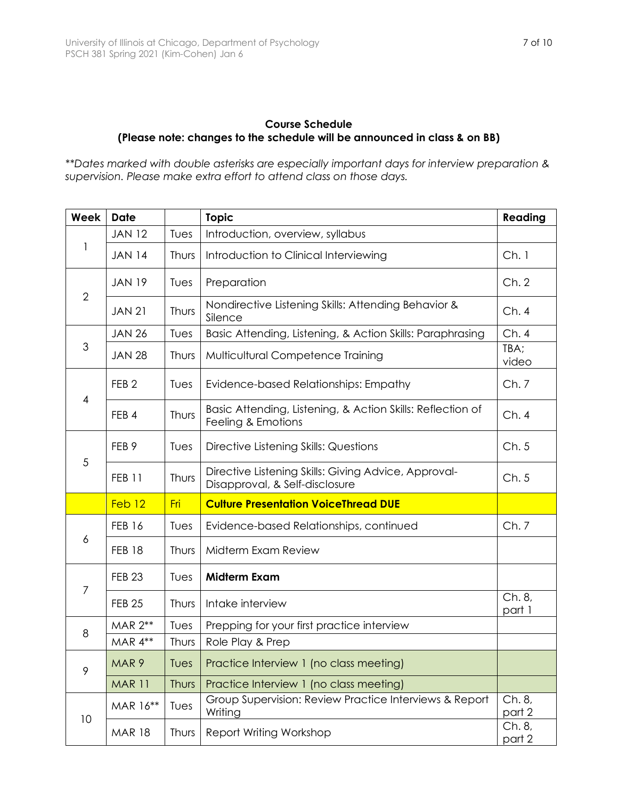## **Course Schedule (Please note: changes to the schedule will be announced in class & on BB)**

*\*\*Dates marked with double asterisks are especially important days for interview preparation & supervision. Please make extra effort to attend class on those days.* 

| <b>Week</b>    | <b>Date</b>       |       | <b>Topic</b>                                                                           |                  |
|----------------|-------------------|-------|----------------------------------------------------------------------------------------|------------------|
| 1              | <b>JAN 12</b>     | Tues  | Introduction, overview, syllabus                                                       |                  |
|                | <b>JAN 14</b>     | Thurs | Introduction to Clinical Interviewing                                                  | Ch.1             |
| $\overline{2}$ | <b>JAN 19</b>     | Tues  | Preparation                                                                            | Ch.2             |
|                | <b>JAN 21</b>     | Thurs | Nondirective Listening Skills: Attending Behavior &<br>Silence                         | Ch.4             |
| 3              | <b>JAN 26</b>     | Tues  | Basic Attending, Listening, & Action Skills: Paraphrasing                              | Ch.4             |
|                | <b>JAN 28</b>     | Thurs | Multicultural Competence Training                                                      | TBA;<br>video    |
| $\overline{4}$ | FEB <sub>2</sub>  | Tues  | Evidence-based Relationships: Empathy                                                  | Ch.7             |
|                | FEB 4             | Thurs | Basic Attending, Listening, & Action Skills: Reflection of<br>Feeling & Emotions       | Ch.4             |
| 5              | FEB <sub>9</sub>  | Tues  | Directive Listening Skills: Questions                                                  | Ch.5             |
|                | <b>FEB 11</b>     | Thurs | Directive Listening Skills: Giving Advice, Approval-<br>Disapproval, & Self-disclosure | Ch.5             |
|                | Feb <sub>12</sub> | Fri   | <b>Culture Presentation VoiceThread DUE</b>                                            |                  |
| 6              | <b>FEB 16</b>     | Tues  | Evidence-based Relationships, continued                                                | Ch.7             |
|                | <b>FEB 18</b>     | Thurs | Midterm Exam Review                                                                    |                  |
| $\overline{7}$ | <b>FEB 23</b>     | Tues  | <b>Midterm Exam</b>                                                                    |                  |
|                | <b>FEB 25</b>     | Thurs | Intake interview                                                                       | Ch. 8,<br>part 1 |
| 8              | MAR 2**           | Tues  | Prepping for your first practice interview                                             |                  |
|                | MAR 4**           | Thurs | Role Play & Prep                                                                       |                  |
| 9              | MAR <sub>9</sub>  | Tues  | Practice Interview 1 (no class meeting)                                                |                  |
|                | <b>MAR 11</b>     | Thurs | Practice Interview 1 (no class meeting)                                                |                  |
| 10             | MAR 16**          | Tues  | Group Supervision: Review Practice Interviews & Report<br>Writing                      | Ch. 8,<br>part 2 |
|                | <b>MAR 18</b>     | Thurs | Report Writing Workshop                                                                | Ch. 8,<br>part 2 |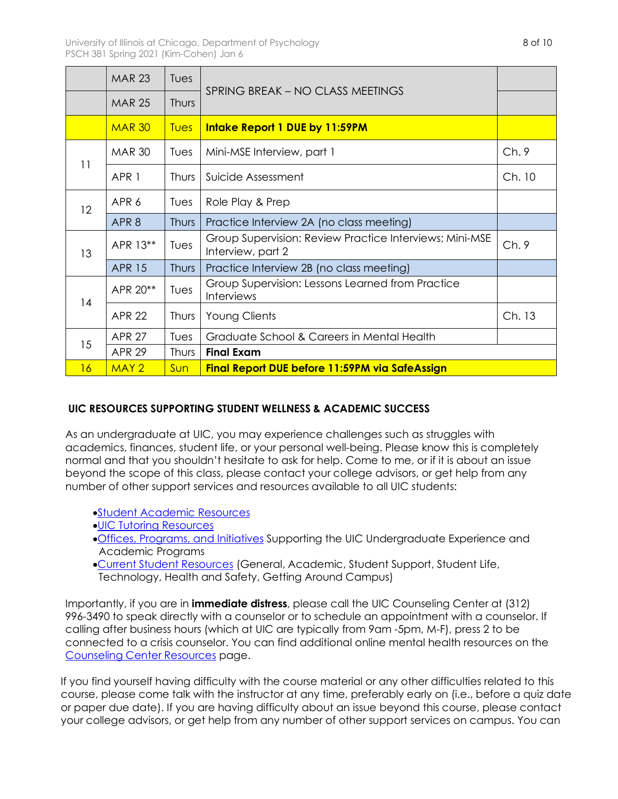|    | <b>MAR 23</b>    | Tues        |                                                                              |        |
|----|------------------|-------------|------------------------------------------------------------------------------|--------|
|    | <b>MAR 25</b>    | Thurs       | SPRING BREAK - NO CLASS MEETINGS                                             |        |
|    | <b>MAR 30</b>    | <b>Tues</b> | Intake Report 1 DUE by 11:59PM                                               |        |
| 11 | <b>MAR 30</b>    | Tues        | Mini-MSE Interview, part 1                                                   | Ch.9   |
|    | APR 1            | Thurs       | Suicide Assessment                                                           | Ch. 10 |
| 12 | APR 6            | Tues        | Role Play & Prep                                                             |        |
|    | APR <sub>8</sub> | Thurs       | Practice Interview 2A (no class meeting)                                     |        |
| 13 | APR 13**         | Tues        | Group Supervision: Review Practice Interviews; Mini-MSE<br>Interview, part 2 | Ch.9   |
|    | <b>APR 15</b>    | Thurs       | Practice Interview 2B (no class meeting)                                     |        |
| 14 | APR 20**         | Tues        | Group Supervision: Lessons Learned from Practice<br><b>Interviews</b>        |        |
|    | <b>APR 22</b>    | Thurs       | <b>Young Clients</b>                                                         | Ch. 13 |
| 15 | <b>APR 27</b>    | Tues        | Graduate School & Careers in Mental Health                                   |        |
|    | <b>APR 29</b>    | Thurs       | <b>Final Exam</b>                                                            |        |
| 16 | MAY <sub>2</sub> | Sun         | Final Report DUE before 11:59PM via SafeAssign                               |        |

# **UIC RESOURCES SUPPORTING STUDENT WELLNESS & ACADEMIC SUCCESS**

As an undergraduate at UIC, you may experience challenges such as struggles with academics, finances, student life, or your personal well-being. Please know this is completely normal and that you shouldn't hesitate to ask for help. Come to me, or if it is about an issue beyond the scope of this class, please contact your college advisors, or get help from any number of other support services and resources available to all UIC students:

- •Student Academic Resources
- •UIC Tutoring Resources
- •Offices, Programs, and Initiatives Supporting the UIC Undergraduate Experience and Academic Programs
- •Current Student Resources (General, Academic, Student Support, Student Life, Technology, Health and Safety, Getting Around Campus)

Importantly, if you are in **immediate distress**, please call the UIC Counseling Center at (312) 996-3490 to speak directly with a counselor or to schedule an appointment with a counselor. If calling after business hours (which at UIC are typically from 9am -5pm, M-F), press 2 to be connected to a crisis counselor. You can find additional online mental health resources on the Counseling Center Resources page.

If you find yourself having difficulty with the course material or any other difficulties related to this course, please come talk with the instructor at any time, preferably early on (i.e., before a quiz date or paper due date). If you are having difficulty about an issue beyond this course, please contact your college advisors, or get help from any number of other support services on campus. You can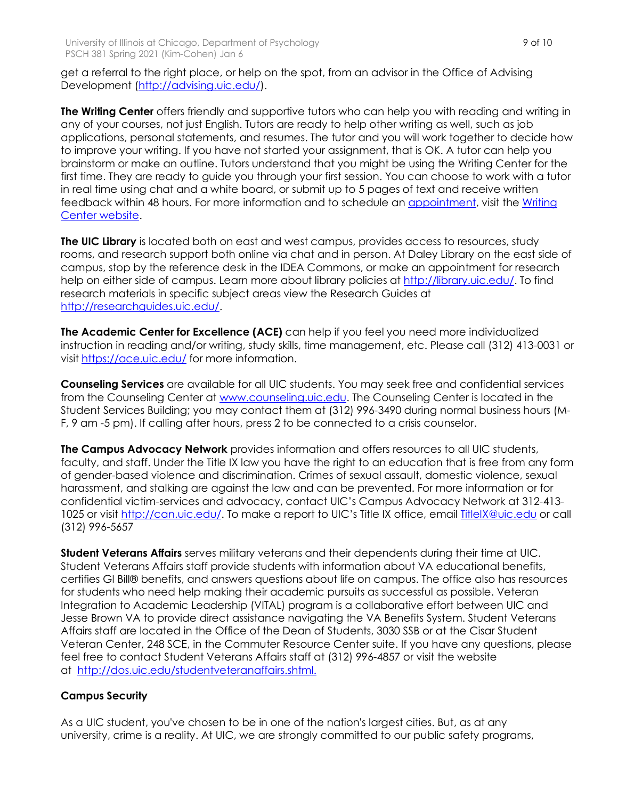get a referral to the right place, or help on the spot, from an advisor in the Office of Advising Development (http://advising.uic.edu/).

**The Writing Center** offers friendly and supportive tutors who can help you with reading and writing in any of your courses, not just English. Tutors are ready to help other writing as well, such as job applications, personal statements, and resumes. The tutor and you will work together to decide how to improve your writing. If you have not started your assignment, that is OK. A tutor can help you brainstorm or make an outline. Tutors understand that you might be using the Writing Center for the first time. They are ready to guide you through your first session. You can choose to work with a tutor in real time using chat and a white board, or submit up to 5 pages of text and receive written feedback within 48 hours. For more information and to schedule an appointment, visit the Writing Center website.

**The UIC Library** is located both on east and west campus, provides access to resources, study rooms, and research support both online via chat and in person. At Daley Library on the east side of campus, stop by the reference desk in the IDEA Commons, or make an appointment for research help on either side of campus. Learn more about library policies at http://library.uic.edu/. To find research materials in specific subject areas view the Research Guides at http://researchguides.uic.edu/.

**The Academic Center for Excellence (ACE)** can help if you feel you need more individualized instruction in reading and/or writing, study skills, time management, etc. Please call (312) 413-0031 or visit https://ace.uic.edu/ for more information.

**Counseling Services** are available for all UIC students. You may seek free and confidential services from the Counseling Center at www.counseling.uic.edu. The Counseling Center is located in the Student Services Building; you may contact them at (312) 996-3490 during normal business hours (M-F, 9 am -5 pm). If calling after hours, press 2 to be connected to a crisis counselor.

**The Campus Advocacy Network** provides information and offers resources to all UIC students, faculty, and staff. Under the Title IX law you have the right to an education that is free from any form of gender-based violence and discrimination. Crimes of sexual assault, domestic violence, sexual harassment, and stalking are against the law and can be prevented. For more information or for confidential victim-services and advocacy, contact UIC's Campus Advocacy Network at 312-413- 1025 or visit http://can.uic.edu/. To make a report to UIC's Title IX office, email **TitleIX@uic.edu** or call (312) 996-5657

**Student Veterans Affairs** serves military veterans and their dependents during their time at UIC. Student Veterans Affairs staff provide students with information about VA educational benefits, certifies GI Bill® benefits, and answers questions about life on campus. The office also has resources for students who need help making their academic pursuits as successful as possible. Veteran Integration to Academic Leadership (VITAL) program is a collaborative effort between UIC and Jesse Brown VA to provide direct assistance navigating the VA Benefits System. Student Veterans Affairs staff are located in the Office of the Dean of Students, 3030 SSB or at the Cisar Student Veteran Center, 248 SCE, in the Commuter Resource Center suite. If you have any questions, please feel free to contact Student Veterans Affairs staff at (312) 996-4857 or visit the website at http://dos.uic.edu/studentveteranaffairs.shtml.

# **Campus Security**

As a UIC student, you've chosen to be in one of the nation's largest cities. But, as at any university, crime is a reality. At UIC, we are strongly committed to our public safety programs,